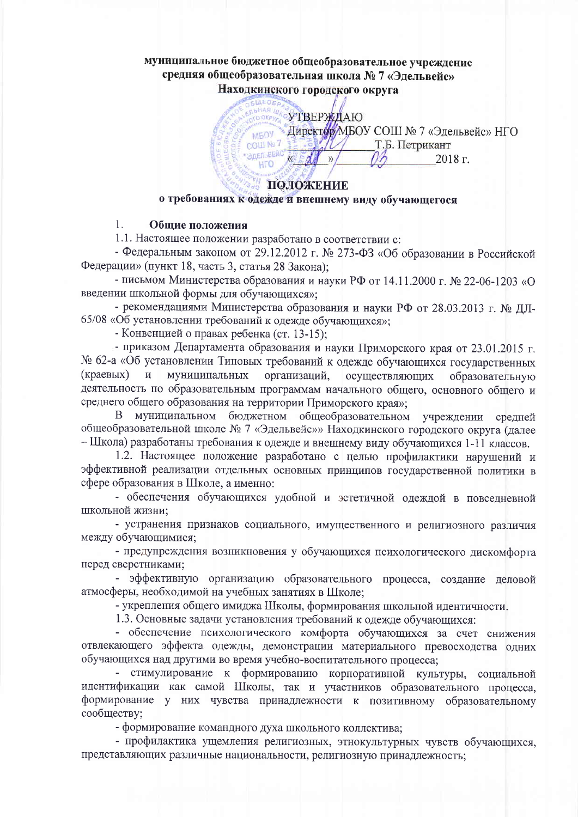# муниципальное бюджетное общеобразовательное учреждение средняя общеобразовательная школа № 7 «Эдельвейс» Находкинского городского округа

УТВЕРЖДАЮ **D OKP** • Директор МБОУ СОШ № 7 «Эдельвейс» НГО **MEOV** COUL Nº 7 Т.Б. Петрикант Эдельвейс  $\overline{\mathcal{Y}}$ 2018 г. **LITO** 

## ПОЛОЖЕНИЕ о требованиях к одежде и внешнему виду обучающегося

#### 1. Общие положения

1.1. Настоящее положении разработано в соответствии с:

- Федеральным законом от 29.12.2012 г. № 273-ФЗ «Об образовании в Российской Федерации» (пункт 18, часть 3, статья 28 Закона):

- письмом Министерства образования и науки РФ от 14.11.2000 г. № 22-06-1203 «О введении школьной формы для обучающихся»:

- рекомендациями Министерства образования и науки РФ от 28.03.2013 г. № ДЛ-65/08 «Об установлении требований к одежде обучающихся»;

- Конвенцией о правах ребенка (ст. 13-15);

- приказом Департамента образования и науки Приморского края от 23.01.2015 г. № 62-а «Об установлении Типовых требований к одежде обучающихся государственных (краевых)  $\mathbf{M}$ муниципальных организаций, осуществляющих образовательную деятельность по образовательным программам начального общего, основного общего и среднего общего образования на территории Приморского края»:

 $B$ муниципальном бюджетном общеобразовательном учреждении средней общеобразовательной школе № 7 «Эдельвейс»» Находкинского городского округа (далее - Школа) разработаны требования к одежде и внешнему виду обучающихся 1-11 классов.

1.2. Настоящее положение разработано с целью профилактики нарушений и эффективной реализации отдельных основных принципов государственной политики в сфере образования в Школе, а именно:

- обеспечения обучающихся удобной и эстетичной одеждой в повседневной ШКОЛЬНОЙ ЖИЗНИ;

- устранения признаков социального, имущественного и религиозного различия между обучающимися;

- предупреждения возникновения у обучающихся психологического дискомфорта перед сверстниками;

- эффективную организацию образовательного процесса, создание деловой атмосферы, необходимой на учебных занятиях в Школе;

- укрепления общего имиджа Школы, формирования школьной идентичности.

1.3. Основные задачи установления требований к одежде обучающихся:

- обеспечение психологического комфорта обучающихся за счет снижения отвлекающего эффекта одежды, демонстрации материального превосходства одних обучающихся над другими во время учебно-воспитательного процесса;

- стимулирование к формированию корпоративной культуры, социальной идентификации как самой Школы, так и участников образовательного процесса, формирование у них чувства принадлежности к позитивному образовательному сообществу;

- формирование командного духа школьного коллектива;

- профилактика ущемления религиозных, этнокультурных чувств обучающихся, представляющих различные национальности, религиозную принадлежность;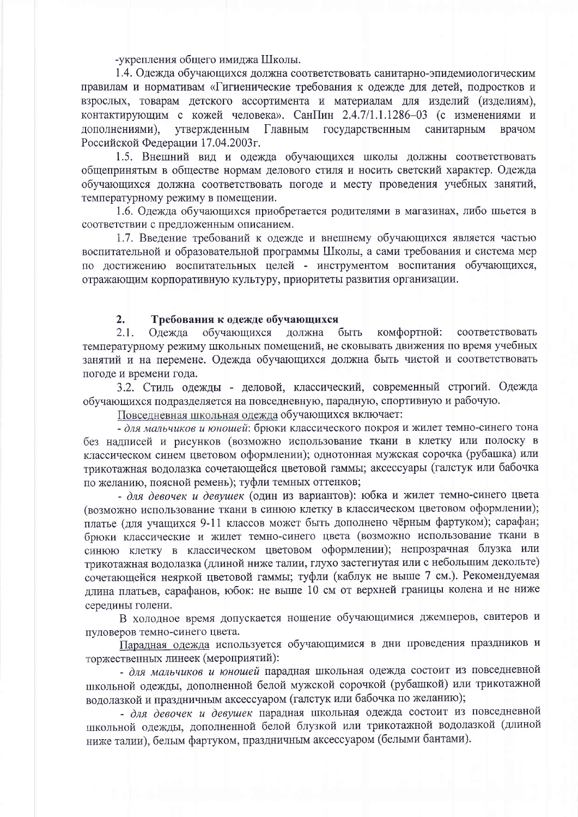-укрепления общего имилжа Школы.

1.4. Одежда обучающихся должна соответствовать санитарно-эпидемиологическим правилам и нормативам «Гигиенические требования к одежде для детей, подростков и взрослых, товарам детского ассортимента и материалам для изделий (изделиям), контактирующим с кожей человека». СанПин 2.4.7/1.1.1286-03 (с изменениями и дополнениями), утвержденным Главным государственным санитарным врачом Российской Федерации 17.04.2003г.

1.5. Внешний вид и одежда обучающихся школы должны соответствовать общепринятым в обществе нормам делового стиля и носить светский характер. Одежда обучающихся должна соответствовать погоде и месту проведения учебных занятий, температурному режиму в помещении.

1.6. Одежда обучающихся приобретается родителями в магазинах, либо шьется в соответствии с предложенным описанием.

1.7. Введение требований к одежде и внешнему обучающихся является частью воспитательной и образовательной программы Школы, а сами требования и система мер по достижению воспитательных целей - инструментом воспитания обучающихся, отражающим корпоративную культуру, приоритеты развития организации.

#### $2.$ Требования к одежде обучающихся

 $2.1.$ быть комфортной: обучающихся лолжна соответствовать Олежла температурному режиму школьных помещений, не сковывать движения по время учебных занятий и на перемене. Одежда обучающихся должна быть чистой и соответствовать погоде и времени года.

3.2. Стиль одежды - деловой, классический, современный строгий. Одежда обучающихся подразделяется на повседневную, парадную, спортивную и рабочую.

Повседневная школьная одежда обучающихся включает:

- для мальчиков и юношей: брюки классического покроя и жилет темно-синего тона без надписей и рисунков (возможно использование ткани в клетку или полоску в классическом синем цветовом оформлении); однотонная мужская сорочка (рубашка) или трикотажная водолазка сочетающейся цветовой гаммы; аксессуары (галстук или бабочка по желанию, поясной ремень); туфли темных оттенков:

- для девочек и девушек (один из вариантов): юбка и жилет темно-синего цвета (возможно использование ткани в синюю клетку в классическом цветовом оформлении); платье (для учащихся 9-11 классов может быть дополнено чёрным фартуком); сарафан; брюки классические и жилет темно-синего цвета (возможно использование ткани в синюю клетку в классическом цветовом оформлении); непрозрачная блузка или трикотажная водолазка (длиной ниже талии, глухо застегнутая или с небольшим декольте) сочетающейся неяркой цветовой гаммы; туфли (каблук не выше 7 см.). Рекомендуемая длина платьев, сарафанов, юбок: не выше 10 см от верхней границы колена и не ниже середины голени.

В холодное время допускается ношение обучающимися джемперов, свитеров и пуловеров темно-синего цвета.

Парадная одежда используется обучающимися в дни проведения праздников и торжественных линеек (мероприятий):

- для мальчиков и юношей парадная школьная одежда состоит из повседневной школьной одежды, дополненной белой мужской сорочкой (рубашкой) или трикотажной водолазкой и праздничным аксессуаром (галстук или бабочка по желанию);

- для девочек и девушек парадная школьная одежда состоит из повседневной школьной одежды, дополненной белой блузкой или трикотажной водолазкой (длиной ниже талии), белым фартуком, праздничным аксессуаром (белыми бантами).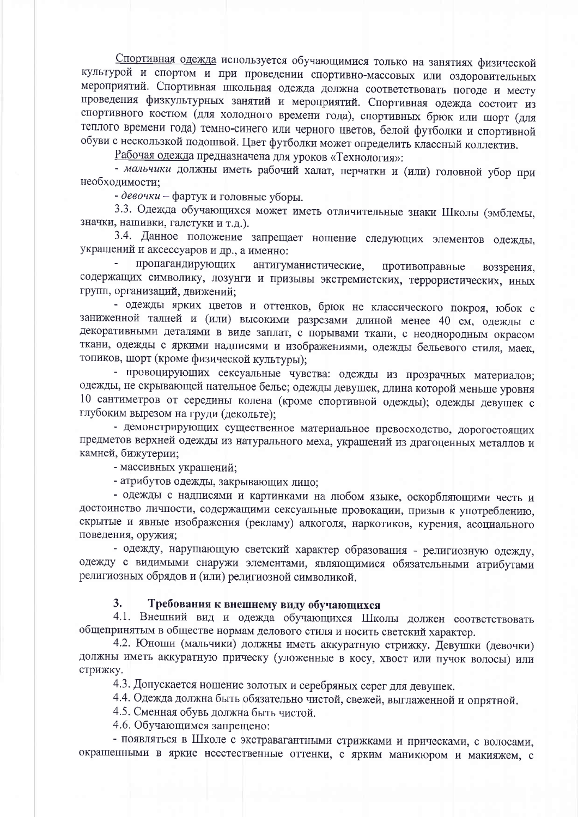Спортивная одежда используется обучающимися только на занятиях физической культурой и спортом и при проведении спортивно-массовых или оздоровительных мероприятий. Спортивная школьная одежда должна соответствовать погоде и месту проведения физкультурных занятий и мероприятий. Спортивная одежда состоит из спортивного костюм (для холодного времени года), спортивных брюк или шорт (для теплого времени года) темно-синего или черного цветов, белой футболки и спортивной обуви с нескользкой подошвой. Цвет футболки может определить классный коллектив.

Рабочая одежда предназначена для уроков «Технология»:

- мальчики должны иметь рабочий халат, перчатки и (или) головной убор при необходимости;

- девочки - фартук и головные уборы.

3.3. Одежда обучающихся может иметь отличительные знаки Школы (эмблемы, значки, нашивки, галстуки и т.д.).

3.4. Данное положение запрещает ношение следующих элементов одежды, украшений и аксессуаров и др., а именно:

пропагандирующих антигуманистические, противоправные воззрения, содержащих символику, лозунги и призывы экстремистских, террористических, иных групп, организаций, движений;

- одежды ярких цветов и оттенков, брюк не классического покроя, юбок с заниженной талией и (или) высокими разрезами длиной менее 40 см, одежды с декоративными деталями в виде заплат, с порывами ткани, с неоднородным окрасом ткани, одежды с яркими надписями и изображениями, одежды бельевого стиля, маек, топиков, шорт (кроме физической культуры);

- провоцирующих сексуальные чувства: одежды из прозрачных материалов; одежды, не скрывающей нательное белье; одежды девушек, длина которой меньше уровня 10 сантиметров от середины колена (кроме спортивной одежды); одежды девушек с глубоким вырезом на груди (декольте);

- демонстрирующих существенное материальное превосходство, дорогостоящих предметов верхней одежды из натурального меха, украшений из драгоценных металлов и камней, бижутерии;

- массивных украшений;

- атрибутов одежды, закрывающих лицо;

- одежды с надписями и картинками на любом языке, оскорбляющими честь и достоинство личности, содержащими сексуальные провокации, призыв к употреблению, скрытые и явные изображения (рекламу) алкоголя, наркотиков, курения, асоциального поведения, оружия;

- одежду, нарушающую светский характер образования - религиозную одежду, одежду с видимыми снаружи элементами, являющимися обязательными атрибутами религиозных обрядов и (или) религиозной символикой.

### $3<sub>1</sub>$ Требования к внешнему виду обучающихся

4.1. Внешний вид и одежда обучающихся Школы должен соответствовать общепринятым в обществе нормам делового стиля и носить светский характер.

4.2. Юноши (мальчики) должны иметь аккуратную стрижку. Девушки (девочки) должны иметь аккуратную прическу (уложенные в косу, хвост или пучок волосы) или стрижку.

4.3. Допускается ношение золотых и серебряных серег для девушек.

4.4. Одежда должна быть обязательно чистой, свежей, выглаженной и опрятной.

4.5. Сменная обувь должна быть чистой.

4.6. Обучающимся запрещено:

- появляться в Школе с экстравагантными стрижками и прическами, с волосами, окрашенными в яркие неестественные оттенки, с ярким маникюром и макияжем, с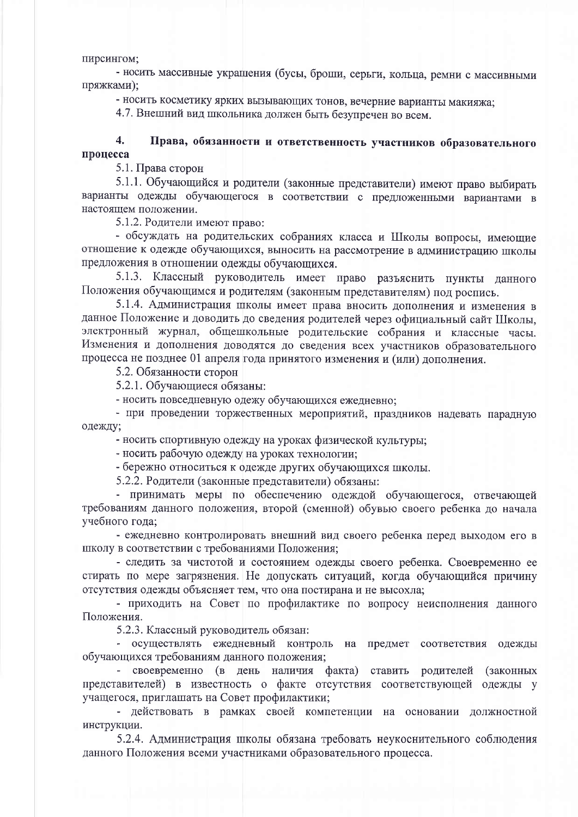пирсингом;

- носить массивные украшения (бусы, броши, серьги, кольца, ремни с массивными пряжками);

- носить косметику ярких вызывающих тонов, вечерние варианты макияжа:

4.7. Внешний вид школьника должен быть безупречен во всем.

### $\overline{4}$ . Права, обязанности и ответственность участников образовательного процесса

5.1. Права сторон

5.1.1. Обучающийся и родители (законные представители) имеют право выбирать варианты одежды обучающегося в соответствии с предложенными вариантами в настоящем положении.

5.1.2. Родители имеют право:

- обсуждать на родительских собраниях класса и Школы вопросы, имеющие отношение к одежде обучающихся, выносить на рассмотрение в администрацию школы предложения в отношении одежды обучающихся.

5.1.3. Классный руководитель имеет право разъяснить пункты данного Положения обучающимся и родителям (законным представителям) под роспись.

5.1.4. Администрация школы имеет права вносить дополнения и изменения в данное Положение и доводить до сведения родителей через официальный сайт Школы, электронный журнал, общешкольные родительские собрания и классные часы. Изменения и дополнения доводятся до сведения всех участников образовательного процесса не позднее 01 апреля года принятого изменения и (или) дополнения.

5.2. Обязанности сторон

5.2.1. Обучающиеся обязаны:

- носить повседневную одежу обучающихся ежедневно;

- при проведении торжественных мероприятий, праздников надевать парадную одежду;

- носить спортивную одежду на уроках физической культуры;

- носить рабочую одежду на уроках технологии;

- бережно относиться к одежде других обучающихся школы.

5.2.2. Родители (законные представители) обязаны:

- принимать меры по обеспечению одеждой обучающегося, отвечающей требованиям данного положения, второй (сменной) обувью своего ребенка до начала учебного года;

- ежедневно контролировать внешний вид своего ребенка перед выходом его в школу в соответствии с требованиями Положения;

- следить за чистотой и состоянием одежды своего ребенка. Своевременно ее стирать по мере загрязнения. Не допускать ситуаций, когда обучающийся причину отсутствия одежды объясняет тем, что она постирана и не высохла;

- приходить на Совет по профилактике по вопросу неисполнения данного Положения.

5.2.3. Классный руководитель обязан:

- осуществлять ежедневный контроль на предмет соответствия одежды обучающихся требованиям данного положения;

- своевременно (в день наличия факта) ставить родителей (законных представителей) в известность о факте отсутствия соответствующей одежды у учащегося, приглашать на Совет профилактики;

- действовать в рамках своей компетенции на основании должностной инструкции.

5.2.4. Администрация школы обязана требовать неукоснительного соблюдения данного Положения всеми участниками образовательного процесса.